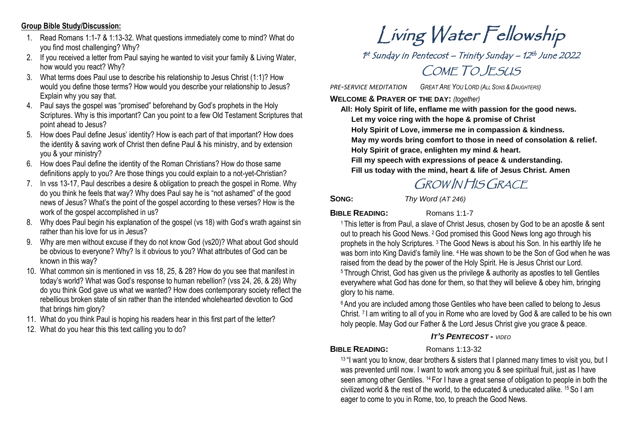## **Group Bible Study/Discussion:**

- 1. Read Romans 1:1-7 & 1:13-32. What questions immediately come to mind? What do you find most challenging? Why?
- 2. If you received a letter from Paul saying he wanted to visit your family & Living Water, how would you react? Why?
- 3. What terms does Paul use to describe his relationship to Jesus Christ (1:1)? How would you define those terms? How would you describe your relationship to Jesus? Explain why you say that.
- 4. Paul says the gospel was "promised" beforehand by God's prophets in the Holy Scriptures. Why is this important? Can you point to a few Old Testament Scriptures that point ahead to Jesus?
- 5. How does Paul define Jesus' identity? How is each part of that important? How does the identity & saving work of Christ then define Paul & his ministry, and by extension you & your ministry?
- 6. How does Paul define the identity of the Roman Christians? How do those same definitions apply to you? Are those things you could explain to a not-yet-Christian?
- 7. In vss 13-17, Paul describes a desire & obligation to preach the gospel in Rome. Why do you think he feels that way? Why does Paul say he is "not ashamed" of the good news of Jesus? What's the point of the gospel according to these verses? How is the work of the gospel accomplished in us?
- 8. Why does Paul begin his explanation of the gospel (vs 18) with God's wrath against sin rather than his love for us in Jesus?
- 9. Why are men without excuse if they do not know God (vs20)? What about God should be obvious to everyone? Why? Is it obvious to you? What attributes of God can be known in this way?
- 10. What common sin is mentioned in vss 18, 25, & 28? How do you see that manifest in today's world? What was God's response to human rebellion? (vss 24, 26, & 28) Why do you think God gave us what we wanted? How does contemporary society reflect the rebellious broken state of sin rather than the intended wholehearted devotion to God that brings him glory?
- 11. What do you think Paul is hoping his readers hear in this first part of the letter?
- 12. What do you hear this this text calling you to do?

# Living Water Fellowship

1st Sunday in Pentecost – Trinity Sunday – 12th June 2022 COME TO JESUS

*PRE-SERVICE MEDITATION GREAT ARE YOU LORD (ALL SONS & DAUGHTERS)*

**WELCOME & PRAYER OF THE DAY:** *(together)*

**All: Holy Spirit of life, enflame me with passion for the good news. Let my voice ring with the hope & promise of Christ Holy Spirit of Love, immerse me in compassion & kindness. May my words bring comfort to those in need of consolation & relief. Holy Spirit of grace, enlighten my mind & heart. Fill my speech with expressions of peace & understanding. Fill us today with the mind, heart & life of Jesus Christ. Amen**

# GROW IN HIS GRACE

**SONG:** *Thy Word (AT 246)*

## **BIBLE READING:** Romans 1:1-7

<sup>1</sup> This letter is from Paul, a slave of Christ Jesus, chosen by God to be an apostle & sent out to preach his Good News. 2God promised this Good News long ago through his prophets in the holy Scriptures. <sup>3</sup> The Good News is about his Son. In his earthly life he was born into King David's family line. <sup>4</sup> He was shown to be the Son of God when he was raised from the dead by the power of the Holy Spirit. He is Jesus Christ our Lord. <sup>5</sup> Through Christ, God has given us the privilege & authority as apostles to tell Gentiles everywhere what God has done for them, so that they will believe & obey him, bringing glory to his name.

<sup>6</sup> And you are included among those Gentiles who have been called to belong to Jesus Christ. <sup>7</sup> I am writing to all of you in Rome who are loved by God & are called to be his own holy people. May God our Father & the Lord Jesus Christ give you grace & peace.

# *IT'S PENTECOST* **-** *VIDEO*

# **BIBLE READING:** Romans 1:13-32

<sup>13 "</sup>I want you to know, dear brothers & sisters that I planned many times to visit you, but I was prevented until now. I want to work among you & see spiritual fruit, just as I have seen among other Gentiles. <sup>14</sup> For I have a great sense of obligation to people in both the civilized world & the rest of the world, to the educated & uneducated alike. 15So I am eager to come to you in Rome, too, to preach the Good News.